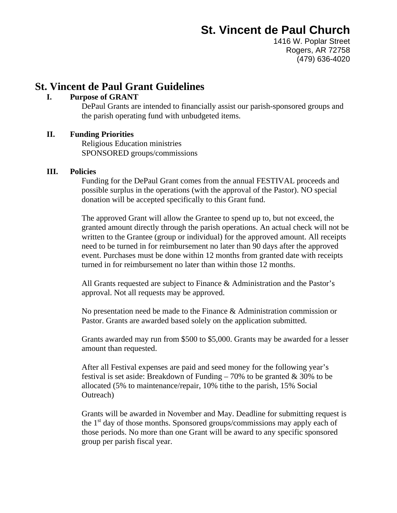1416 W. Poplar Street Rogers, AR 72758 (479) 636-4020

#### **St. Vincent de Paul Grant Guidelines**

#### **I. Purpose of GRANT**

DePaul Grants are intended to financially assist our parish-sponsored groups and the parish operating fund with unbudgeted items.

#### **II. Funding Priorities**

Religious Education ministries SPONSORED groups/commissions

#### **III. Policies**

Funding for the DePaul Grant comes from the annual FESTIVAL proceeds and possible surplus in the operations (with the approval of the Pastor). NO special donation will be accepted specifically to this Grant fund.

The approved Grant will allow the Grantee to spend up to, but not exceed, the granted amount directly through the parish operations. An actual check will not be written to the Grantee (group or individual) for the approved amount. All receipts need to be turned in for reimbursement no later than 90 days after the approved event. Purchases must be done within 12 months from granted date with receipts turned in for reimbursement no later than within those 12 months.

All Grants requested are subject to Finance & Administration and the Pastor's approval. Not all requests may be approved.

No presentation need be made to the Finance & Administration commission or Pastor. Grants are awarded based solely on the application submitted.

Grants awarded may run from \$500 to \$5,000. Grants may be awarded for a lesser amount than requested.

After all Festival expenses are paid and seed money for the following year's festival is set aside: Breakdown of Funding  $-70\%$  to be granted & 30% to be allocated (5% to maintenance/repair, 10% tithe to the parish, 15% Social Outreach)

Grants will be awarded in November and May. Deadline for submitting request is the  $1<sup>st</sup>$  day of those months. Sponsored groups/commissions may apply each of those periods. No more than one Grant will be award to any specific sponsored group per parish fiscal year.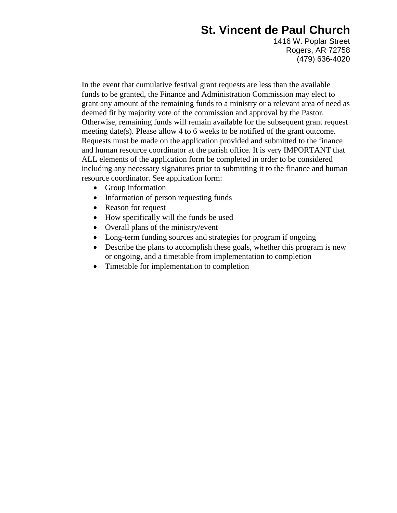1416 W. Poplar Street Rogers, AR 72758 (479) 636-4020

In the event that cumulative festival grant requests are less than the available funds to be granted, the Finance and Administration Commission may elect to grant any amount of the remaining funds to a ministry or a relevant area of need as deemed fit by majority vote of the commission and approval by the Pastor. Otherwise, remaining funds will remain available for the subsequent grant request meeting date(s). Please allow 4 to 6 weeks to be notified of the grant outcome. Requests must be made on the application provided and submitted to the finance and human resource coordinator at the parish office. It is very IMPORTANT that ALL elements of the application form be completed in order to be considered including any necessary signatures prior to submitting it to the finance and human resource coordinator. See application form:

- Group information
- Information of person requesting funds
- Reason for request
- How specifically will the funds be used
- Overall plans of the ministry/event
- Long-term funding sources and strategies for program if ongoing
- Describe the plans to accomplish these goals, whether this program is new or ongoing, and a timetable from implementation to completion
- Timetable for implementation to completion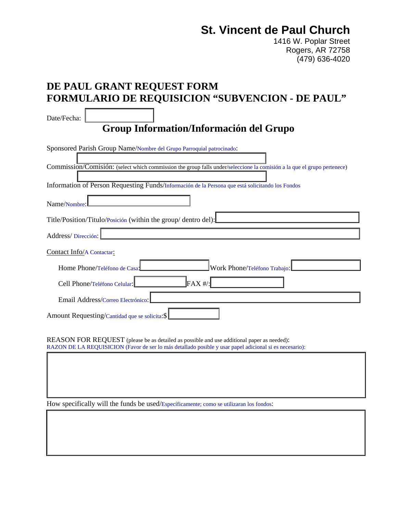1416 W. Poplar Street Rogers, AR 72758 (479) 636-4020

### **DE PAUL GRANT REQUEST FORM FORMULARIO DE REQUISICION "SUBVENCION - DE PAUL"**

Date/Fecha:

**Group Information/Información del Grupo** 

| Sponsored Parish Group Name/Nombre del Grupo Parroquial patrocinado:                                                    |
|-------------------------------------------------------------------------------------------------------------------------|
|                                                                                                                         |
| Commission/Comisión: (select which commission the group falls under/seleccione la comisión a la que el grupo pertenece) |
| Information of Person Requesting Funds/Información de la Persona que está solicitando los Fondos                        |
| Name/Nombre:                                                                                                            |
| Title/Position/Titulo/Posición (within the group/ dentro del):                                                          |
| Address/Dirección:                                                                                                      |
| Contact Info/A Contactar:                                                                                               |
| Home Phone/Teléfono de Casa<br>Work Phone/Teléfono Trabajo:                                                             |
| $FAX$ #/:<br>Cell Phone/Teléfono Celular:                                                                               |
| Email Address/Correo Electrónico:                                                                                       |
| Amount Requesting/Cantidad que se solicita: \$                                                                          |

REASON FOR REQUEST (please be as detailed as possible and use additional paper as needed): RAZON DE LA REQUISICION (Favor de ser lo más detallado posible y usar papel adicional si es necesario):

How specifically will the funds be used/Específicamente; como se utilizaran los fondos: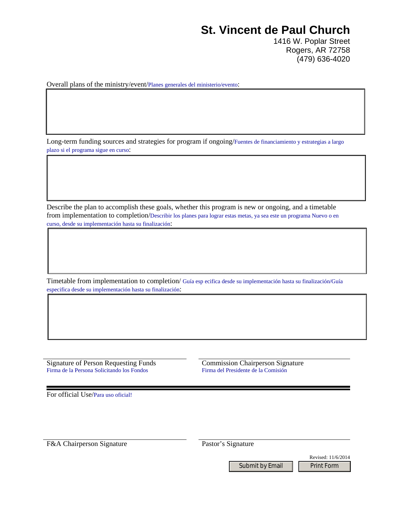1416 W. Poplar Street Rogers, AR 72758 (479) 636-4020

Overall plans of the ministry/event/Planes generales del ministerio/evento:

Long-term funding sources and strategies for program if ongoing/Fuentes de financiamiento y estrategias a largo plazo si el programa sigue en curso:

Describe the plan to accomplish these goals, whether this program is new or ongoing, and a timetable from implementation to completion/Describir los planes para lograr estas metas, ya sea este un programa Nuevo o en curso, desde su implementación hasta su finalización:

Timetable from implementation to completion/ Guía esp ecifica desde su implementación hasta su finalización/Guía especifica desde su implementación hasta su finalización:

Signature of Person Requesting Funds Commission Chairperson Signature<br>Firma de la Persona Solicitando los Fondos Funds Firma del Presidente de la Comisión Firma de la Persona Solicitando los Fondos

For official Use/Para uso oficial!

F&A Chairperson Signature Pastor's Signature

Submit by Email | Print Form

Revised: 11/6/2014